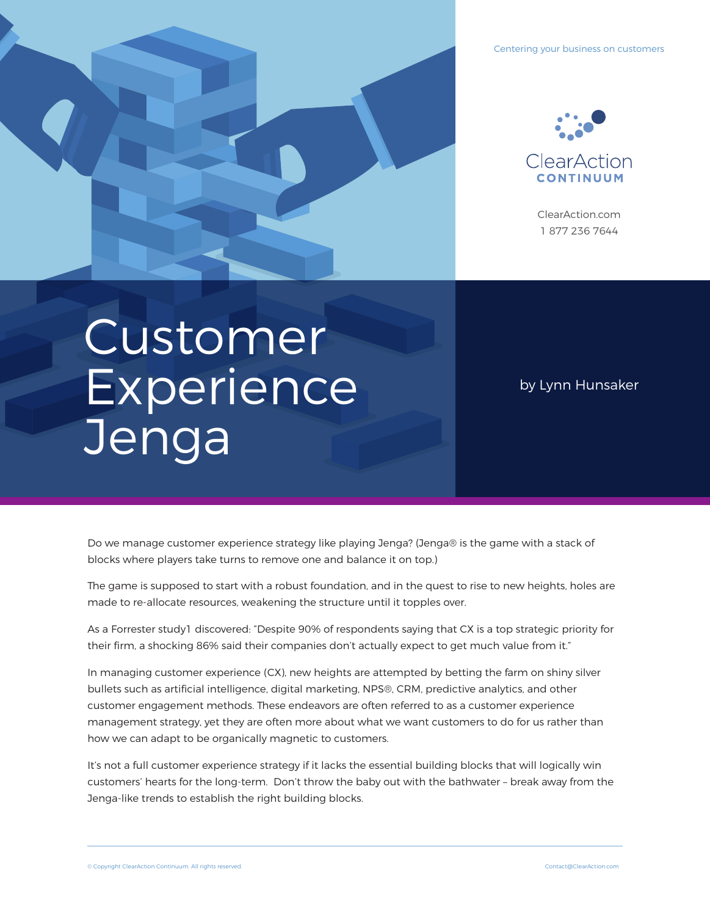



ClearAction.com 1 877 236 7644

# Customer **Experience Jenga**

by Lynn Hunsaker

Do we manage customer experience strategy like playing Jenga? (Jenga® is the game with a stack of blocks where players take turns to remove one and balance it on top.)

The game is supposed to start with a robust foundation, and in the quest to rise to new heights, holes are made to re-allocate resources, weakening the structure until it topples over.

As a Forrester study1 discovered: "Despite 90% of respondents saying that CX is a top strategic priority for their firm, a shocking 86% said their companies don't actually expect to get much value from it."

In managing customer experience (CX), new heights are attempted by betting the farm on shiny silver bullets such as artificial intelligence, digital marketing, NPS®, CRM, predictive analytics, and other customer engagement methods. These endeavors are often referred to as a customer experience management strategy, yet they are often more about what we want customers to do for us rather than how we can adapt to be organically magnetic to customers.

It's not a full customer experience strategy if it lacks the essential building blocks that will logically win customers' hearts for the long-term. Don't throw the baby out with the bathwater – break away from the Jenga-like trends to establish the right building blocks.

© Copyright ClearAction Continuum. All rights reserved. Contact@ClearAction.com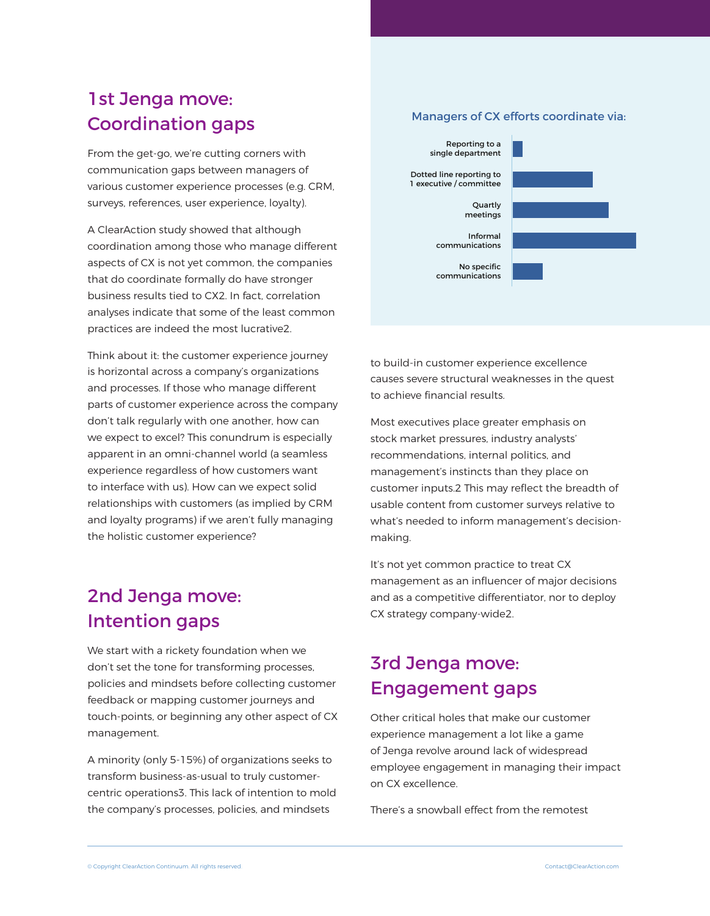## 1st Jenga move: Coordination gaps

From the get-go, we're cutting corners with communication gaps between managers of various customer experience processes (e.g. CRM, surveys, references, user experience, loyalty).

A ClearAction study showed that although coordination among those who manage different aspects of CX is not yet common, the companies that do coordinate formally do have stronger business results tied to CX2. In fact, correlation analyses indicate that some of the least common practices are indeed the most lucrative2.

Think about it: the customer experience journey is horizontal across a company's organizations and processes. If those who manage different parts of customer experience across the company don't talk regularly with one another, how can we expect to excel? This conundrum is especially apparent in an omni-channel world (a seamless experience regardless of how customers want to interface with us). How can we expect solid relationships with customers (as implied by CRM and loyalty programs) if we aren't fully managing the holistic customer experience?

## 2nd Jenga move: Intention gaps

We start with a rickety foundation when we don't set the tone for transforming processes, policies and mindsets before collecting customer feedback or mapping customer journeys and touch-points, or beginning any other aspect of CX management.

A minority (only 5-15%) of organizations seeks to transform business-as-usual to truly customercentric operations3. This lack of intention to mold the company's processes, policies, and mindsets

#### Managers of CX efforts coordinate via:



to build-in customer experience excellence causes severe structural weaknesses in the quest to achieve financial results.

Most executives place greater emphasis on stock market pressures, industry analysts' recommendations, internal politics, and management's instincts than they place on customer inputs.2 This may reflect the breadth of usable content from customer surveys relative to what's needed to inform management's decisionmaking.

It's not yet common practice to treat CX management as an influencer of major decisions and as a competitive differentiator, nor to deploy CX strategy company-wide2.

## 3rd Jenga move: Engagement gaps

Other critical holes that make our customer experience management a lot like a game of Jenga revolve around lack of widespread employee engagement in managing their impact on CX excellence.

There's a snowball effect from the remotest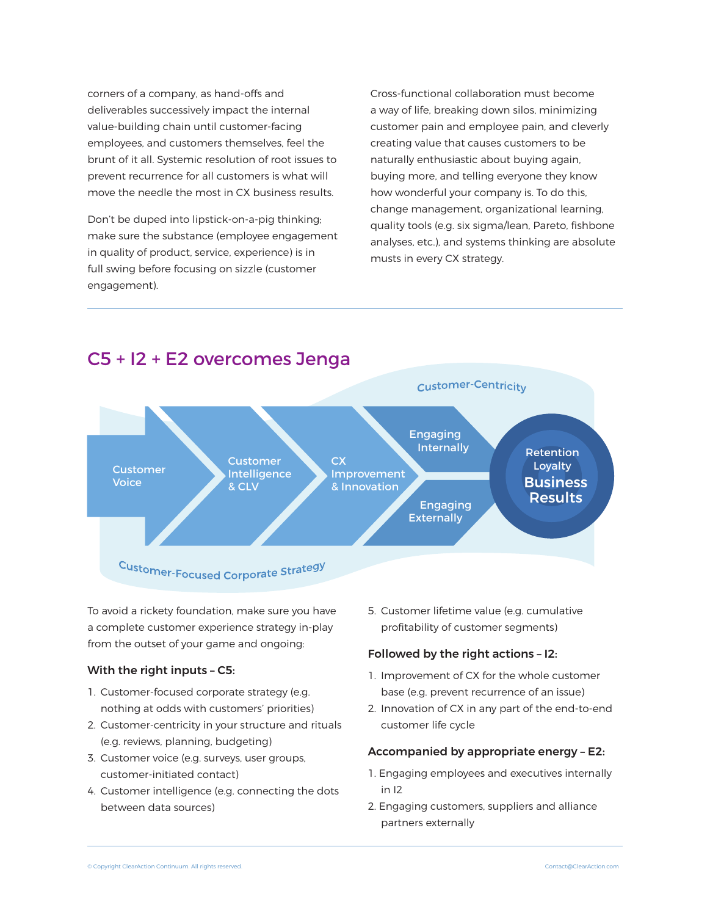corners of a company, as hand-offs and deliverables successively impact the internal value-building chain until customer-facing employees, and customers themselves, feel the brunt of it all. Systemic resolution of root issues to prevent recurrence for all customers is what will move the needle the most in CX business results.

Don't be duped into lipstick-on-a-pig thinking; make sure the substance (employee engagement in quality of product, service, experience) is in full swing before focusing on sizzle (customer engagement).

Cross-functional collaboration must become a way of life, breaking down silos, minimizing customer pain and employee pain, and cleverly creating value that causes customers to be naturally enthusiastic about buying again, buying more, and telling everyone they know how wonderful your company is. To do this, change management, organizational learning, quality tools (e.g. six sigma/lean, Pareto, fishbone analyses, etc.), and systems thinking are absolute musts in every CX strategy.



## C5 + I2 + E2 overcomes Jenga

To avoid a rickety foundation, make sure you have a complete customer experience strategy in-play from the outset of your game and ongoing:

#### With the right inputs – C5:

- 1. Customer-focused corporate strategy (e.g. nothing at odds with customers' priorities)
- 2. Customer-centricity in your structure and rituals (e.g. reviews, planning, budgeting)
- 3. Customer voice (e.g. surveys, user groups, customer-initiated contact)
- 4. Customer intelligence (e.g. connecting the dots between data sources)

5. Customer lifetime value (e.g. cumulative profitability of customer segments)

#### Followed by the right actions – I2:

- 1. Improvement of CX for the whole customer base (e.g. prevent recurrence of an issue)
- 2. Innovation of CX in any part of the end-to-end customer life cycle

#### Accompanied by appropriate energy – E2:

- 1. Engaging employees and executives internally in I2
- 2. Engaging customers, suppliers and alliance partners externally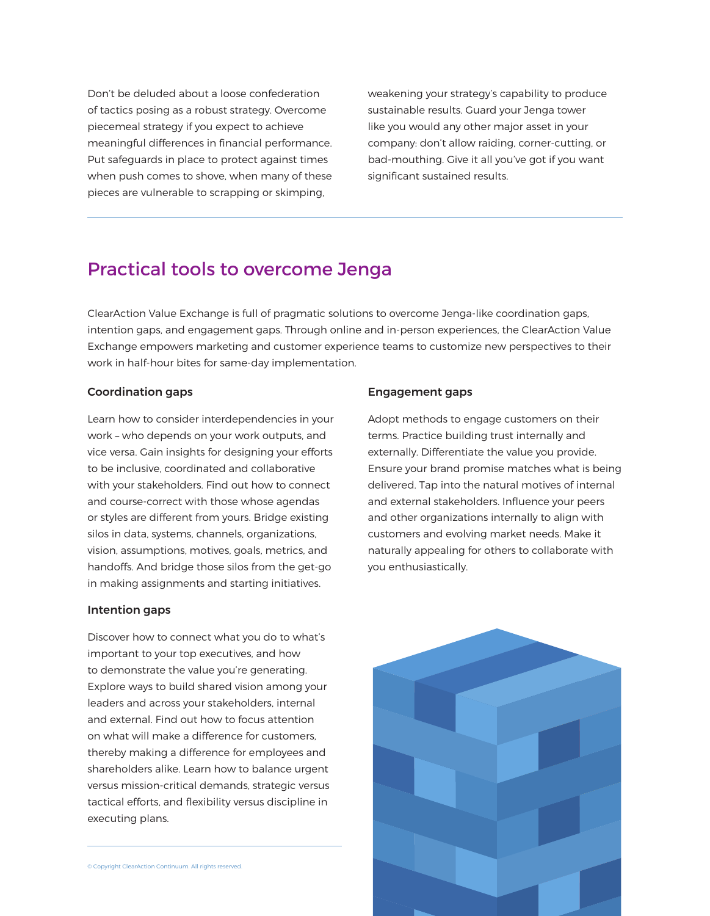Don't be deluded about a loose confederation of tactics posing as a robust strategy. Overcome piecemeal strategy if you expect to achieve meaningful differences in financial performance. Put safeguards in place to protect against times when push comes to shove, when many of these pieces are vulnerable to scrapping or skimping,

weakening your strategy's capability to produce sustainable results. Guard your Jenga tower like you would any other major asset in your company: don't allow raiding, corner-cutting, or bad-mouthing. Give it all you've got if you want significant sustained results.

### Practical tools to overcome Jenga

ClearAction Value Exchange is full of pragmatic solutions to overcome Jenga-like coordination gaps, intention gaps, and engagement gaps. Through online and in-person experiences, the ClearAction Value Exchange empowers marketing and customer experience teams to customize new perspectives to their work in half-hour bites for same-day implementation.

#### Coordination gaps

Learn how to consider interdependencies in your work – who depends on your work outputs, and vice versa. Gain insights for designing your efforts to be inclusive, coordinated and collaborative with your stakeholders. Find out how to connect and course-correct with those whose agendas or styles are different from yours. Bridge existing silos in data, systems, channels, organizations, vision, assumptions, motives, goals, metrics, and handoffs. And bridge those silos from the get-go in making assignments and starting initiatives.

#### Intention gaps

Discover how to connect what you do to what's important to your top executives, and how to demonstrate the value you're generating. Explore ways to build shared vision among your leaders and across your stakeholders, internal and external. Find out how to focus attention on what will make a difference for customers, thereby making a difference for employees and shareholders alike. Learn how to balance urgent versus mission-critical demands, strategic versus tactical efforts, and flexibility versus discipline in executing plans.

© Copyright ClearAction Continuum. All rights reserved.

#### Engagement gaps

Adopt methods to engage customers on their terms. Practice building trust internally and externally. Differentiate the value you provide. Ensure your brand promise matches what is being delivered. Tap into the natural motives of internal and external stakeholders. Influence your peers and other organizations internally to align with customers and evolving market needs. Make it naturally appealing for others to collaborate with you enthusiastically.